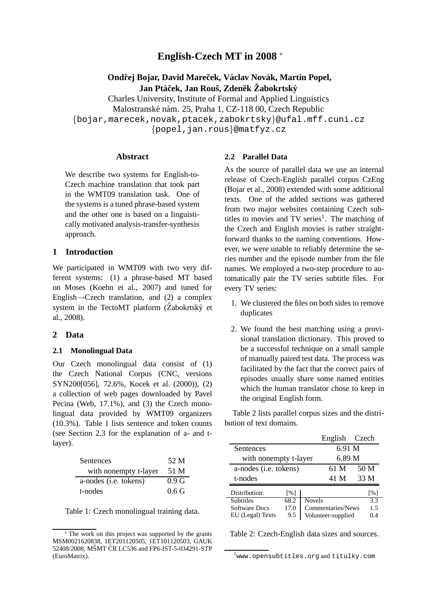# **English-Czech MT in 2008** <sup>∗</sup>

## **Ondřej Bojar, David Mareček, Václav Novák, Martin Popel,**  $Jan$  Ptáček, Jan Rouš, Zdeněk Žabokrtský

Charles University, Institute of Formal and Applied Linguistics Malostranské nám. 25, Praha 1, CZ-118 00, Czech Republic {bojar,marecek,novak,ptacek,zabokrtsky}@ufal.mff.cuni.cz {popel,jan.rous}@matfyz.cz

### **Abstract**

We describe two systems for English-to-Czech machine translation that took part in the WMT09 translation task. One of the systems is a tuned phrase-based system and the other one is based on a linguistically motivated analysis-transfer-synthesis approach.

## **1 Introduction**

We participated in WMT09 with two very different systems: (1) a phrase-based MT based on Moses (Koehn et al., 2007) and tuned for English $\rightarrow$ Czech translation, and (2) a complex system in the TectoMT platform  $(\check{Z}abokrtsk\check{y}$  et al., 2008).

#### **2 Data**

#### **2.1 Monolingual Data**

Our Czech monolingual data consist of (1) the Czech National Corpus (CNC, versions SYN200[056], 72.6%, Kocek et al. (2000)), (2) a collection of web pages downloaded by Pavel Pecina (Web, 17.1%), and (3) the Czech monolingual data provided by WMT09 organizers (10.3%). Table 1 lists sentence and token counts (see Section 2.3 for the explanation of a- and tlayer).

| Sentences             | 52 M             |
|-----------------------|------------------|
| with nonempty t-layer | 51 M             |
| a-nodes (i.e. tokens) | 0.9 G            |
| t-nodes               | 0.6 <sub>G</sub> |

Table 1: Czech monolingual training data.

### **2.2 Parallel Data**

As the source of parallel data we use an internal release of Czech-English parallel corpus CzEng (Bojar et al., 2008) extended with some additional texts. One of the added sections was gathered from two major websites containing Czech subtitles to movies and TV series<sup>1</sup>. The matching of the Czech and English movies is rather straightforward thanks to the naming conventions. However, we were unable to reliably determine the series number and the episode number from the file names. We employed a two-step procedure to automatically pair the TV series subtitle files. For every TV series:

- 1. We clustered the files on both sides to remove duplicates
- 2. We found the best matching using a provisional translation dictionary. This proved to be a successful technique on a small sample of manually paired test data. The process was facilitated by the fact that the correct pairs of episodes usually share some named entities which the human translator chose to keep in the original English form.

Table 2 lists parallel corpus sizes and the distribution of text domains.

|                       |                    |                           | English Czech |      |                   |
|-----------------------|--------------------|---------------------------|---------------|------|-------------------|
| <b>Sentences</b>      |                    |                           | 6.91 M        |      |                   |
| with nonempty t-layer |                    |                           | 6.89 M        |      |                   |
| a-nodes (i.e. tokens) |                    | 61 M                      |               | 50 M |                   |
| t-nodes               |                    |                           | 41 M          |      | 33 M              |
| Distribution:         | $\lceil \% \rceil$ |                           |               |      | $\lceil\% \rceil$ |
| <b>Subtitles</b>      | 68.2               | <b>Novels</b>             |               |      | 3.3               |
| <b>Software Docs</b>  | 17.0               | Commentaries/News<br>1.5  |               |      |                   |
| EU (Legal) Texts      | 9.5                | Volunteer-supplied<br>0.4 |               |      |                   |

Table 2: Czech-English data sizes and sources.

The work on this project was supported by the grants MSM0021620838, 1ET201120505, 1ET101120503, GAUK 52408/2008, MŠMT ČR LC536 and FP6-IST-5-034291-STP (EuroMatrix).

 $^{\rm 1}$ www.opensubtitles.org and titulky.com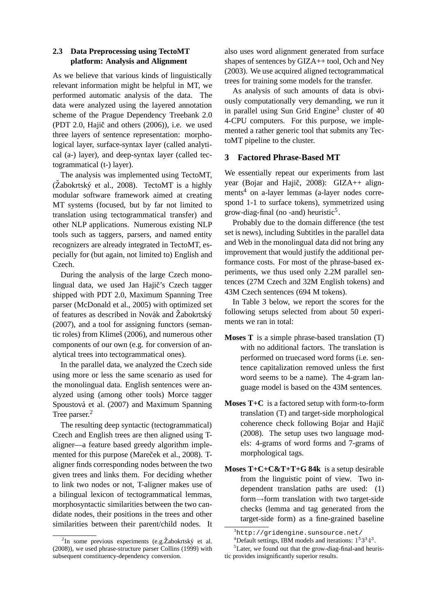## **2.3 Data Preprocessing using TectoMT platform: Analysis and Alignment**

As we believe that various kinds of linguistically relevant information might be helpful in MT, we performed automatic analysis of the data. The data were analyzed using the layered annotation scheme of the Prague Dependency Treebank 2.0 (PDT 2.0, Hajič and others  $(2006)$ ), i.e. we used three layers of sentence representation: morphological layer, surface-syntax layer (called analytical (a-) layer), and deep-syntax layer (called tectogrammatical (t-) layer).

The analysis was implemented using TectoMT,  $(Zabokrtský et al., 2008)$ . TectoMT is a highly modular software framework aimed at creating MT systems (focused, but by far not limited to translation using tectogrammatical transfer) and other NLP applications. Numerous existing NLP tools such as taggers, parsers, and named entity recognizers are already integrated in TectoMT, especially for (but again, not limited to) English and Czech.

During the analysis of the large Czech monolingual data, we used Jan Hajič's Czech tagger shipped with PDT 2.0, Maximum Spanning Tree parser (McDonald et al., 2005) with optimized set of features as described in Novák and Žabokrtský (2007), and a tool for assigning functors (semantic roles) from Klimeš (2006), and numerous other components of our own (e.g. for conversion of analytical trees into tectogrammatical ones).

In the parallel data, we analyzed the Czech side using more or less the same scenario as used for the monolingual data. English sentences were analyzed using (among other tools) Morce tagger Spoustová et al. (2007) and Maximum Spanning Tree parser.<sup>2</sup>

The resulting deep syntactic (tectogrammatical) Czech and English trees are then aligned using Taligner—a feature based greedy algorithm implemented for this purpose (Mareček et al., 2008). Taligner finds corresponding nodes between the two given trees and links them. For deciding whether to link two nodes or not, T-aligner makes use of a bilingual lexicon of tectogrammatical lemmas, morphosyntactic similarities between the two candidate nodes, their positions in the trees and other similarities between their parent/child nodes. It also uses word alignment generated from surface shapes of sentences by GIZA++ tool, Och and Ney (2003). We use acquired aligned tectogrammatical trees for training some models for the transfer.

As analysis of such amounts of data is obviously computationally very demanding, we run it in parallel using Sun Grid Engine<sup>3</sup> cluster of 40 4-CPU computers. For this purpose, we implemented a rather generic tool that submits any TectoMT pipeline to the cluster.

## **3 Factored Phrase-Based MT**

We essentially repeat our experiments from last year (Bojar and Hajič, 2008): GIZA++ alignments<sup>4</sup> on a-layer lemmas (a-layer nodes correspond 1-1 to surface tokens), symmetrized using grow-diag-final (no -and) heuristic<sup>5</sup>.

Probably due to the domain difference (the test set is news), including Subtitles in the parallel data and Web in the monolingual data did not bring any improvement that would justify the additional performance costs. For most of the phrase-based experiments, we thus used only 2.2M parallel sentences (27M Czech and 32M English tokens) and 43M Czech sentences (694 M tokens).

In Table 3 below, we report the scores for the following setups selected from about 50 experiments we ran in total:

- **Moses T** is a simple phrase-based translation (T) with no additional factors. The translation is performed on truecased word forms (i.e. sentence capitalization removed unless the first word seems to be a name). The 4-gram language model is based on the 43M sentences.
- **Moses T+C** is a factored setup with form-to-form translation (T) and target-side morphological coherence check following Bojar and Hajič (2008). The setup uses two language models: 4-grams of word forms and 7-grams of morphological tags.
- **Moses T+C+C&T+T+G 84k** is a setup desirable from the linguistic point of view. Two independent translation paths are used: (1) form→form translation with two target-side checks (lemma and tag generated from the target-side form) as a fine-grained baseline

 ${}^{2}$ In some previous experiments (e.g. Žabokrtský et al. (2008)), we used phrase-structure parser Collins (1999) with subsequent constituency-dependency conversion.

 $3$ http://gridengine.sunsource.net/

<sup>&</sup>lt;sup>4</sup>Default settings, IBM models and iterations:  $1<sup>5</sup>3<sup>3</sup>4<sup>3</sup>$ .

 ${}^{5}$ Later, we found out that the grow-diag-final-and heuristic provides insignificantly superior results.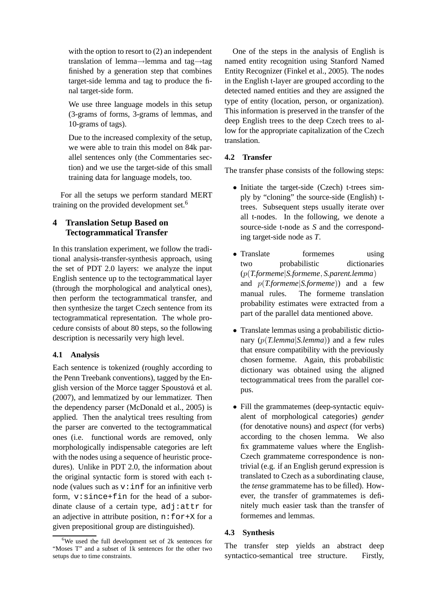with the option to resort to  $(2)$  an independent translation of lemma→lemma and tag→tag finished by a generation step that combines target-side lemma and tag to produce the final target-side form.

We use three language models in this setup (3-grams of forms, 3-grams of lemmas, and 10-grams of tags).

Due to the increased complexity of the setup, we were able to train this model on 84k parallel sentences only (the Commentaries section) and we use the target-side of this small training data for language models, too.

For all the setups we perform standard MERT training on the provided development set.<sup>6</sup>

# **4 Translation Setup Based on Tectogrammatical Transfer**

In this translation experiment, we follow the traditional analysis-transfer-synthesis approach, using the set of PDT 2.0 layers: we analyze the input English sentence up to the tectogrammatical layer (through the morphological and analytical ones), then perform the tectogrammatical transfer, and then synthesize the target Czech sentence from its tectogrammatical representation. The whole procedure consists of about 80 steps, so the following description is necessarily very high level.

## **4.1 Analysis**

Each sentence is tokenized (roughly according to the Penn Treebank conventions), tagged by the English version of the Morce tagger Spoustová et al. (2007), and lemmatized by our lemmatizer. Then the dependency parser (McDonald et al., 2005) is applied. Then the analytical trees resulting from the parser are converted to the tectogrammatical ones (i.e. functional words are removed, only morphologically indispensable categories are left with the nodes using a sequence of heuristic procedures). Unlike in PDT 2.0, the information about the original syntactic form is stored with each tnode (values such as  $v:$  inf for an infinitive verb form, v:since+fin for the head of a subordinate clause of a certain type, adj:attr for an adjective in attribute position,  $n:$  for + $X$  for a given prepositional group are distinguished).

One of the steps in the analysis of English is named entity recognition using Stanford Named Entity Recognizer (Finkel et al., 2005). The nodes in the English t-layer are grouped according to the detected named entities and they are assigned the type of entity (location, person, or organization). This information is preserved in the transfer of the deep English trees to the deep Czech trees to allow for the appropriate capitalization of the Czech translation.

## **4.2 Transfer**

The transfer phase consists of the following steps:

- Initiate the target-side (Czech) t-trees simply by "cloning" the source-side (English) ttrees. Subsequent steps usually iterate over all t-nodes. In the following, we denote a source-side t-node as *S* and the corresponding target-side node as *T*.
- Translate formemes using two probabilistic dictionaries (p(*T.formeme*|*S.formeme*, *S.parent.lemma*) and p(*T.formeme*|*S.formeme*)) and a few manual rules. The formeme translation probability estimates were extracted from a part of the parallel data mentioned above.
- Translate lemmas using a probabilistic dictionary (p(*T.lemma*|*S.lemma*)) and a few rules that ensure compatibility with the previously chosen formeme. Again, this probabilistic dictionary was obtained using the aligned tectogrammatical trees from the parallel corpus.
- Fill the grammatemes (deep-syntactic equivalent of morphological categories) *gender* (for denotative nouns) and *aspect* (for verbs) according to the chosen lemma. We also fix grammateme values where the English-Czech grammateme correspondence is nontrivial (e.g. if an English gerund expression is translated to Czech as a subordinating clause, the *tense* grammateme has to be filled). However, the transfer of grammatemes is definitely much easier task than the transfer of formemes and lemmas.

## **4.3 Synthesis**

The transfer step yields an abstract deep syntactico-semantical tree structure. Firstly,

<sup>6</sup>We used the full development set of 2k sentences for "Moses T" and a subset of 1k sentences for the other two setups due to time constraints.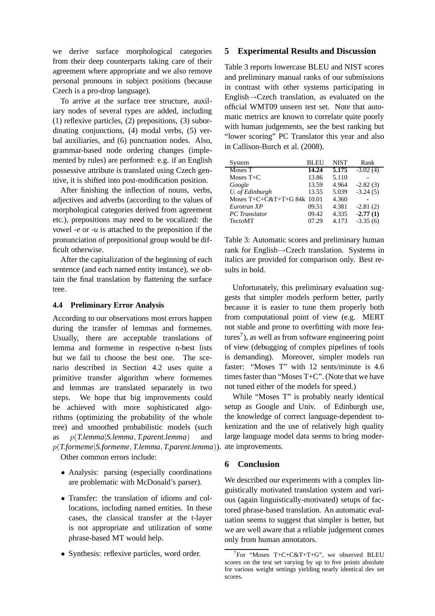we derive surface morphological categories from their deep counterparts taking care of their agreement where appropriate and we also remove personal pronouns in subject positions (because Czech is a pro-drop language).

To arrive at the surface tree structure, auxiliary nodes of several types are added, including (1) reflexive particles, (2) prepositions, (3) subordinating conjunctions, (4) modal verbs, (5) verbal auxiliaries, and (6) punctuation nodes. Also, grammar-based node ordering changes (implemented by rules) are performed: e.g. if an English possessive attribute is translated using Czech genitive, it is shifted into post-modification position.

After finishing the inflection of nouns, verbs, adjectives and adverbs (according to the values of morphological categories derived from agreement etc.), prepositions may need to be vocalized: the vowel *-e* or *-u* is attached to the preposition if the pronunciation of prepositional group would be difficult otherwise.

After the capitalization of the beginning of each sentence (and each named entity instance), we obtain the final translation by flattening the surface tree.

### **4.4 Preliminary Error Analysis**

According to our observations most errors happen during the transfer of lemmas and formemes. Usually, there are acceptable translations of lemma and formeme in respective n-best lists but we fail to choose the best one. The scenario described in Section 4.2 uses quite a primitive transfer algorithm where formemes and lemmas are translated separately in two steps. We hope that big improvements could be achieved with more sophisticated algorithms (optimizing the probability of the whole tree) and smoothed probabilistic models (such as p(*T.lemma*|*S.lemma*, *T.parent.lemma*) and p(*T.formeme*|*S.formeme*, *T.lemma*, *T.parent.lemma*)). Other common errors include:

- Analysis: parsing (especially coordinations are problematic with McDonald's parser).
- Transfer: the translation of idioms and collocations, including named entities. In these cases, the classical transfer at the t-layer is not appropriate and utilization of some phrase-based MT would help.
- Synthesis: reflexive particles, word order.

### **5 Experimental Results and Discussion**

Table 3 reports lowercase BLEU and NIST scores and preliminary manual ranks of our submissions in contrast with other systems participating in English→Czech translation, as evaluated on the official WMT09 unseen test set. Note that automatic metrics are known to correlate quite poorly with human judgements, see the best ranking but "lower scoring" PC Translator this year and also in Callison-Burch et al. (2008).

| System                      | <b>BLEU</b> | <b>NIST</b> | Rank       |
|-----------------------------|-------------|-------------|------------|
| Moses T                     | 14.24       | 5.175       | $-3.02(4)$ |
| Moses $T+C$                 | 13.86       | 5.110       |            |
| Google                      | 13.59       | 4.964       | $-2.82(3)$ |
| U. of Edinburgh             | 13.55       | 5.039       | $-3.24(5)$ |
| Moses T+C+C&T+T+G 84k 10.01 |             | 4.360       |            |
| Eurotran XP                 | 09.51       | 4.381       | $-2.81(2)$ |
| <b>PC</b> Translator        | 09.42       | 4.335       | $-2.77(1)$ |
| <b>TectoMT</b>              | 07.29       | 4.173       | $-3.35(6)$ |

Table 3: Automatic scores and preliminary human rank for English→Czech translation. Systems in italics are provided for comparison only. Best results in bold.

Unfortunately, this preliminary evaluation suggests that simpler models perform better, partly because it is easier to tune them properly both from computational point of view (e.g. MERT not stable and prone to overfitting with more features<sup>7</sup>), as well as from software engineering point of view (debugging of complex pipelines of tools is demanding). Moreover, simpler models run faster: "Moses T" with 12 sents/minute is 4.6 times faster than "Moses T+C". (Note that we have not tuned either of the models for speed.)

While "Moses T" is probably nearly identical setup as Google and Univ. of Edinburgh use, the knowledge of correct language-dependent tokenization and the use of relatively high quality large language model data seems to bring moderate improvements.

## **6 Conclusion**

We described our experiments with a complex linguistically motivated translation system and various (again linguistically-motivated) setups of factored phrase-based translation. An automatic evaluation seems to suggest that simpler is better, but we are well aware that a reliable judgement comes only from human annotators.

 $7$ For "Moses T+C+C&T+T+G", we observed BLEU scores on the test set varying by up to five points absolute for various weight settings yielding nearly identical dev set scores.